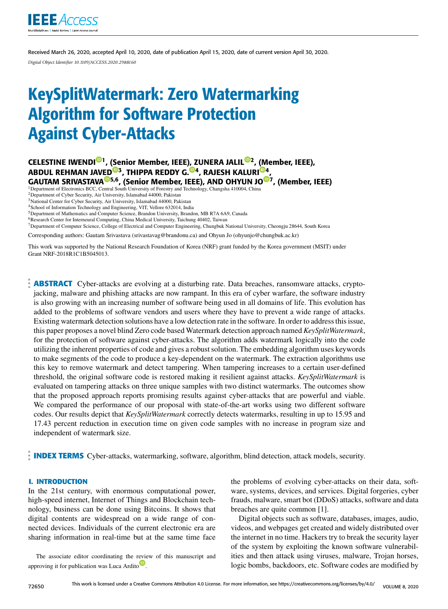

Received March 26, 2020, accepted April 10, 2020, date of publication April 15, 2020, date of current version April 30, 2020. *Digital Object Identifier 10.1109/ACCESS.2020.2988160*

# KeySplitWatermark: Zero Watermarking Algorithm for Software Protection Against Cyber-Attacks

CELESTINE IWENDI<sup>®1</sup>, (Senior Member, IEEE), ZUNERA JALIL®2, (Member, IEEE), ABDUL REHMAN JAVED®3, THIPPA REDDY G.®4, RAJESH KALURI®4, GAUTAM SRIVASTAVA<sup>@5,6</sup>, (Senior Member, IEEE), AND OHYUN JO<sup>@7</sup>, (Member, IEEE)

<sup>1</sup>Department of Electronics BCC, Central South University of Forestry and Technology, Changsha 410004, China

<sup>2</sup>Department of Cyber Security, Air University, Islamabad 44000, Pakistan

<sup>3</sup>National Center for Cyber Security, Air University, Islamabad 44000, Pakistan

<sup>4</sup>School of Information Technology and Engineering, VIT, Vellore 632014, India

<sup>5</sup>Department of Mathematics and Computer Science, Brandon University, Brandon, MB R7A 6A9, Canada <sup>6</sup>Research Center for Interneural Computing, China Medical University, Taichung 40402, Taiwan

<sup>7</sup>Department of Computer Science, College of Electrical and Computer Engineering, Chungbuk National University, Cheongju 28644, South Korea

Corresponding authors: Gautam Srivastava (srivastavag@brandonu.ca) and Ohyun Jo (ohyunjo@chungbuk.ac.kr)

This work was supported by the National Research Foundation of Korea (NRF) grant funded by the Korea government (MSIT) under Grant NRF-2018R1C1B5045013.

**ABSTRACT** Cyber-attacks are evolving at a disturbing rate. Data breaches, ransomware attacks, cryptojacking, malware and phishing attacks are now rampant. In this era of cyber warfare, the software industry is also growing with an increasing number of software being used in all domains of life. This evolution has added to the problems of software vendors and users where they have to prevent a wide range of attacks. Existing watermark detection solutions have a low detection rate in the software. In order to address this issue, this paper proposes a novel blind Zero code based Watermark detection approach named *KeySplitWatermark*, for the protection of software against cyber-attacks. The algorithm adds watermark logically into the code utilizing the inherent properties of code and gives a robust solution. The embedding algorithm uses keywords to make segments of the code to produce a key-dependent on the watermark. The extraction algorithms use this key to remove watermark and detect tampering. When tampering increases to a certain user-defined threshold, the original software code is restored making it resilient against attacks. *KeySplitWatermark* is evaluated on tampering attacks on three unique samples with two distinct watermarks. The outcomes show that the proposed approach reports promising results against cyber-attacks that are powerful and viable. We compared the performance of our proposal with state-of-the-art works using two different software codes. Our results depict that *KeySplitWatermark* correctly detects watermarks, resulting in up to 15.95 and 17.43 percent reduction in execution time on given code samples with no increase in program size and independent of watermark size.

**INDEX TERMS** Cyber-attacks, watermarking, software, algorithm, blind detection, attack models, security.

#### **I. INTRODUCTION**

In the 21st century, with enormous computational power, high-speed internet, Internet of Things and Blockchain technology, business can be done using Bitcoins. It shows that digital contents are widespread on a wide range of connected devices. Individuals of the current electronic era are sharing information in real-time but at the same time face

The associate editor coordinating the review of this manuscript and approving it for publication was Luca Ardito<sup>1</sup>.

the problems of evolving cyber-attacks on their data, software, systems, devices, and services. Digital forgeries, cyber frauds, malware, smart bot (DDoS) attacks, software and data breaches are quite common [1].

Digital objects such as software, databases, images, audio, videos, and webpages get created and widely distributed over the internet in no time. Hackers try to break the security layer of the system by exploiting the known software vulnerabilities and then attack using viruses, malware, Trojan horses, logic bombs, backdoors, etc. Software codes are modified by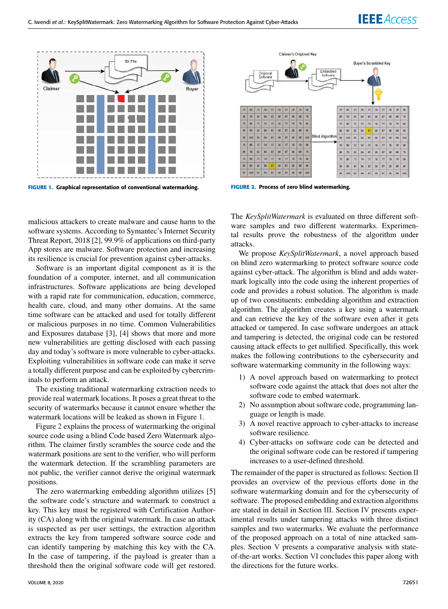

**FIGURE 1.** Graphical representation of conventional watermarking.

malicious attackers to create malware and cause harm to the software systems. According to Symantec's Internet Security Threat Report, 2018 [2], 99.9% of applications on third-party App stores are malware. Software protection and increasing its resilience is crucial for prevention against cyber-attacks.

Software is an important digital component as it is the foundation of a computer, internet, and all communication infrastructures. Software applications are being developed with a rapid rate for communication, education, commerce, health care, cloud, and many other domains. At the same time software can be attacked and used for totally different or malicious purposes in no time. Common Vulnerabilities and Exposures database [3], [4] shows that more and more new vulnerabilities are getting disclosed with each passing day and today's software is more vulnerable to cyber-attacks. Exploiting vulnerabilities in software code can make it serve a totally different purpose and can be exploited by cybercriminals to perform an attack.

The existing traditional watermarking extraction needs to provide real watermark locations. It poses a great threat to the security of watermarks because it cannot ensure whether the watermark locations will be leaked as shown in Figure 1.

Figure 2 explains the process of watermarking the original source code using a blind Code based Zero Watermark algorithm. The claimer firstly scrambles the source code and the watermark positions are sent to the verifier, who will perform the watermark detection. If the scrambling parameters are not public, the verifier cannot derive the original watermark positions.

The zero watermarking embedding algorithm utilizes [5] the software code's structure and watermark to construct a key. This key must be registered with Certification Authority (CA) along with the original watermark. In case an attack is suspected as per user settings, the extraction algorithm extracts the key from tampered software source code and can identify tampering by matching this key with the CA. In the case of tampering, if the payload is greater than a threshold then the original software code will get restored.



**FIGURE 2.** Process of zero blind watermarking.

The *KeySplitWatermark* is evaluated on three different software samples and two different watermarks. Experimental results prove the robustness of the algorithm under attacks.

We propose *KeySplitWatermark*, a novel approach based on blind zero watermarking to protect software source code against cyber-attack. The algorithm is blind and adds watermark logically into the code using the inherent properties of code and provides a robust solution. The algorithm is made up of two constituents: embedding algorithm and extraction algorithm. The algorithm creates a key using a watermark and can retrieve the key of the software even after it gets attacked or tampered. In case software undergoes an attack and tampering is detected, the original code can be restored causing attack effects to get nullified. Specifically, this work makes the following contributions to the cybersecurity and software watermarking community in the following ways:

- 1) A novel approach based on watermarking to protect software code against the attack that does not alter the software code to embed watermark.
- 2) No assumption about software code, programming language or length is made.
- 3) A novel reactive approach to cyber-attacks to increase software resilience.
- 4) Cyber-attacks on software code can be detected and the original software code can be restored if tampering increases to a user-defined threshold.

The remainder of the paper is structured as follows: Section II provides an overview of the previous efforts done in the software watermarking domain and for the cybersecurity of software. The proposed embedding and extraction algorithms are stated in detail in Section III. Section IV presents experimental results under tampering attacks with three distinct samples and two watermarks. We evaluate the performance of the proposed approach on a total of nine attacked samples. Section V presents a comparative analysis with stateof-the-art works. Section VI concludes this paper along with the directions for the future works.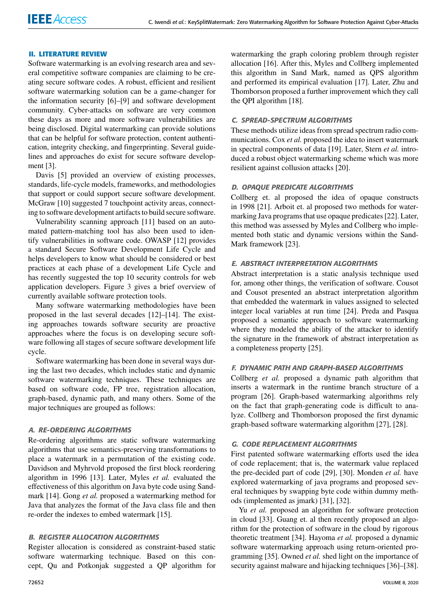## **II. LITERATURE REVIEW**

Software watermarking is an evolving research area and several competitive software companies are claiming to be creating secure software codes. A robust, efficient and resilient software watermarking solution can be a game-changer for the information security [6]–[9] and software development community. Cyber-attacks on software are very common these days as more and more software vulnerabilities are being disclosed. Digital watermarking can provide solutions that can be helpful for software protection, content authentication, integrity checking, and fingerprinting. Several guidelines and approaches do exist for secure software development [3].

Davis [5] provided an overview of existing processes, standards, life-cycle models, frameworks, and methodologies that support or could support secure software development. McGraw [10] suggested 7 touchpoint activity areas, connecting to software development artifacts to build secure software.

Vulnerability scanning approach [11] based on an automated pattern-matching tool has also been used to identify vulnerabilities in software code. OWASP [12] provides a standard Secure Software Development Life Cycle and helps developers to know what should be considered or best practices at each phase of a development Life Cycle and has recently suggested the top 10 security controls for web application developers. Figure 3 gives a brief overview of currently available software protection tools.

Many software watermarking methodologies have been proposed in the last several decades [12]–[14]. The existing approaches towards software security are proactive approaches where the focus is on developing secure software following all stages of secure software development life cycle.

Software watermarking has been done in several ways during the last two decades, which includes static and dynamic software watermarking techniques. These techniques are based on software code, FP tree, registration allocation, graph-based, dynamic path, and many others. Some of the major techniques are grouped as follows:

## A. RE-ORDERING ALGORITHMS

Re-ordering algorithms are static software watermarking algorithms that use semantics-preserving transformations to place a watermark in a permutation of the existing code. Davidson and Myhrvold proposed the first block reordering algorithm in 1996 [13]. Later, Myles *et al.* evaluated the effectiveness of this algorithm on Java byte code using Sandmark [14]. Gong *et al.* proposed a watermarking method for Java that analyzes the format of the Java class file and then re-order the indexes to embed watermark [15].

## B. REGISTER ALLOCATION ALGORITHMS

Register allocation is considered as constraint-based static software watermarking technique. Based on this concept, Qu and Potkonjak suggested a QP algorithm for

watermarking the graph coloring problem through register allocation [16]. After this, Myles and Collberg implemented this algorithm in Sand Mark, named as QPS algorithm and performed its empirical evaluation [17]. Later, Zhu and Thomborson proposed a further improvement which they call the QPI algorithm [18].

# C. SPREAD-SPECTRUM ALGORITHMS

These methods utilize ideas from spread spectrum radio communications. Cox *et al.* proposed the idea to insert watermark in spectral components of data [19]. Later, Stern *et al.* introduced a robust object watermarking scheme which was more resilient against collusion attacks [20].

# D. OPAQUE PREDICATE ALGORITHMS

Collberg et. al proposed the idea of opaque constructs in 1998 [21]. Arboit et. al proposed two methods for watermarking Java programs that use opaque predicates [22]. Later, this method was assessed by Myles and Collberg who implemented both static and dynamic versions within the Sand-Mark framework [23].

### E. ABSTRACT INTERPRETATION ALGORITHMS

Abstract interpretation is a static analysis technique used for, among other things, the verification of software. Cousot and Cousot presented an abstract interpretation algorithm that embedded the watermark in values assigned to selected integer local variables at run time [24]. Preda and Pasqua proposed a semantic approach to software watermarking where they modeled the ability of the attacker to identify the signature in the framework of abstract interpretation as a completeness property [25].

#### F. DYNAMIC PATH AND GRAPH-BASED ALGORITHMS

Collberg *et al.* proposed a dynamic path algorithm that inserts a watermark in the runtime branch structure of a program [26]. Graph-based watermarking algorithms rely on the fact that graph-generating code is difficult to analyze. Collberg and Thomborson proposed the first dynamic graph-based software watermarking algorithm [27], [28].

#### G. CODE REPLACEMENT ALGORITHMS

First patented software watermarking efforts used the idea of code replacement; that is, the watermark value replaced the pre-decided part of code [29], [30]. Monden *et al.* have explored watermarking of java programs and proposed several techniques by swapping byte code within dummy methods (implemented as jmark) [31], [32].

Yu *et al.* proposed an algorithm for software protection in cloud [33]. Guang et. al then recently proposed an algorithm for the protection of software in the cloud by rigorous theoretic treatment [34]. Hayoma *et al.* proposed a dynamic software watermarking approach using return-oriented programming [35]. Owned *et al.* shed light on the importance of security against malware and hijacking techniques [36]–[38].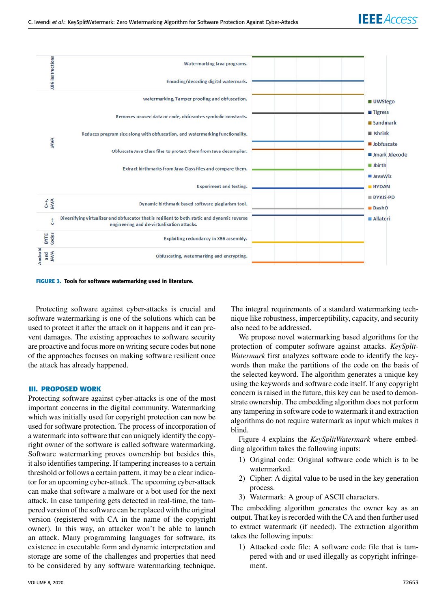

**FIGURE 3.** Tools for software watermarking used in literature.

Protecting software against cyber-attacks is crucial and software watermarking is one of the solutions which can be used to protect it after the attack on it happens and it can prevent damages. The existing approaches to software security are proactive and focus more on writing secure codes but none of the approaches focuses on making software resilient once the attack has already happened.

#### **III. PROPOSED WORK**

Protecting software against cyber-attacks is one of the most important concerns in the digital community. Watermarking which was initially used for copyright protection can now be used for software protection. The process of incorporation of a watermark into software that can uniquely identify the copyright owner of the software is called software watermarking. Software watermarking proves ownership but besides this, it also identifies tampering. If tampering increases to a certain threshold or follows a certain pattern, it may be a clear indicator for an upcoming cyber-attack. The upcoming cyber-attack can make that software a malware or a bot used for the next attack. In case tampering gets detected in real-time, the tampered version of the software can be replaced with the original version (registered with CA in the name of the copyright owner). In this way, an attacker won't be able to launch an attack. Many programming languages for software, its existence in executable form and dynamic interpretation and storage are some of the challenges and properties that need to be considered by any software watermarking technique. The integral requirements of a standard watermarking technique like robustness, imperceptibility, capacity, and security also need to be addressed.

We propose novel watermarking based algorithms for the protection of computer software against attacks. *KeySplit-Watermark* first analyzes software code to identify the keywords then make the partitions of the code on the basis of the selected keyword. The algorithm generates a unique key using the keywords and software code itself. If any copyright concern is raised in the future, this key can be used to demonstrate ownership. The embedding algorithm does not perform any tampering in software code to watermark it and extraction algorithms do not require watermark as input which makes it blind.

Figure 4 explains the *KeySplitWatermark* where embedding algorithm takes the following inputs:

- 1) Original code: Original software code which is to be watermarked.
- 2) Cipher: A digital value to be used in the key generation process.
- 3) Watermark: A group of ASCII characters.

The embedding algorithm generates the owner key as an output. That key is recorded with the CA and then further used to extract watermark (if needed). The extraction algorithm takes the following inputs:

1) Attacked code file: A software code file that is tampered with and or used illegally as copyright infringement.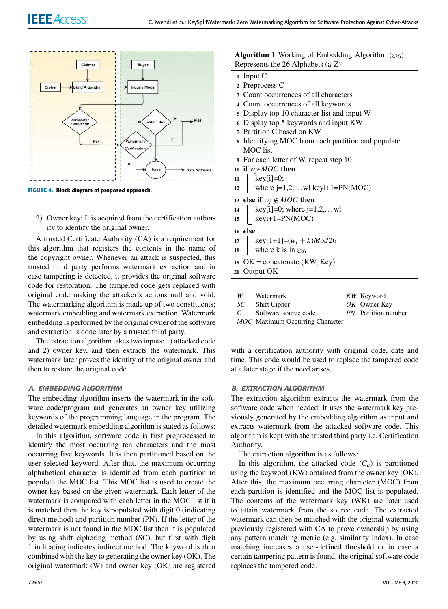

**FIGURE 4.** Block diagram of proposed approach.

2) Owner key: It is acquired from the certification authority to identify the original owner.

A trusted Certificate Authority (CA) is a requirement for this algorithm that registers the contents in the name of the copyright owner. Whenever an attack is suspected, this trusted third party performs watermark extraction and in case tampering is detected, it provides the original software code for restoration. The tampered code gets replaced with original code making the attacker's actions null and void. The watermarking algorithm is made up of two constituents; watermark embedding and watermark extraction. Watermark embedding is performed by the original owner of the software and extraction is done later by a trusted third party.

The extraction algorithm takes two inputs: 1) attacked code and 2) owner key, and then extracts the watermark. This watermark later proves the identity of the original owner and then to restore the original code.

## A. EMBEDDING ALGORITHM

The embedding algorithm inserts the watermark in the software code/program and generates an owner key utilizing keywords of the programming language in the program. The detailed watermark embedding algorithm is stated as follows:

In this algorithm, software code is first preprocessed to identify the most occurring ten characters and the most occurring five keywords. It is then partitioned based on the user-selected keyword. After that, the maximum occurring alphabetical character is identified from each partition to populate the MOC list. This MOC list is used to create the owner key based on the given watermark. Each letter of the watermark is compared with each letter in the MOC list if it is matched then the key is populated with digit 0 (indicating direct method) and partition number (PN). If the letter of the watermark is not found in the MOC list then it is populated by using shift ciphering method (SC), but first with digit 1 indicating indicates indirect method. The keyword is then combined with the key to generating the owner key (OK). The original watermark (W) and owner key (OK) are registered

# **Algorithm 1** Working of Embedding Algorithm  $(z_{26})$ Represents the 26 Alphabets (a-Z)

- **<sup>1</sup>** Input C
- **<sup>2</sup>** Preprocess C
- **<sup>3</sup>** Count occurrences of all characters
- **<sup>4</sup>** Count occurrences of all keywords
- **<sup>5</sup>** Display top 10 character list and input W
- **<sup>6</sup>** Display top 5 keywords and input KW
- **<sup>7</sup>** Partition C based on KW
- **<sup>8</sup>** Identifying MOC from each partition and populate MOC list
- **<sup>9</sup>** For each letter of W, repeat step 10
- **10 if**  $w_i \in MOC$  **then**
- **<sup>11</sup>** key[i]=0;
- 12 where  $j=1,2,...$  where  $j=1,2,...$  where  $k=1$
- **13 else if**  $w_j \notin MOC$  **then**
- **14** key[**i**]=0; where **j**=1,2,... wl
- **<sup>15</sup>** keyi+1=PN(MOC)
- **<sup>16</sup> else**
- 17 key $[1+1] = (w_i + k)Mod26$
- 18 where k is in  $z_{26}$
- **<sup>19</sup>** OK = concatenate (KW, Key)

**<sup>20</sup>** Output OK

| W              | Watermark                              | KW Keyword                 |
|----------------|----------------------------------------|----------------------------|
|                | SC Shift Cipher                        | OK Owner Key               |
| $\overline{C}$ | Software source code                   | <i>PN</i> Partition number |
|                | <b>MOC</b> Maximum Occurring Character |                            |

with a certification authority with original code, date and time. This code would be used to replace the tampered code at a later stage if the need arises.

## B. EXTRACTION ALGORITHM

The extraction algorithm extracts the watermark from the software code when needed. It uses the watermark key previously generated by the embedding algorithm as input and extracts watermark from the attacked software code. This algorithm is kept with the trusted third party i.e. Certification Authority.

The extraction algorithm is as follows:

In this algorithm, the attacked code  $(C_a)$  is partitioned using the keyword (KW) obtained from the owner key (OK). After this, the maximum occurring character (MOC) from each partition is identified and the MOC list is populated. The contents of the watermark key (WK) are later used to attain watermark from the source code. The extracted watermark can then be matched with the original watermark previously registered with CA to prove ownership by using any pattern matching metric (e.g. similarity index). In case matching increases a user-defined threshold or in case a certain tampering pattern is found, the original software code replaces the tampered code.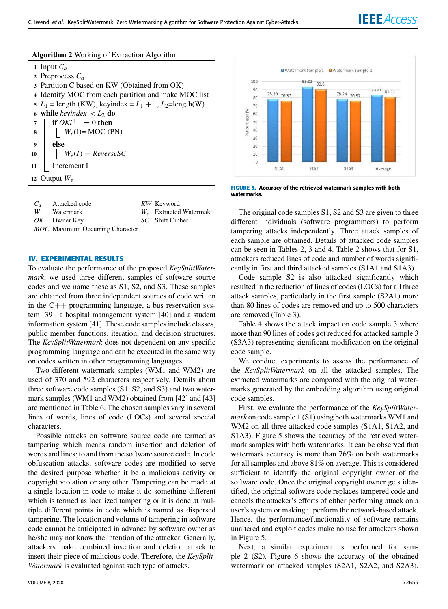|  |  | Algorithm 2 Working of Extraction Algorithm |  |
|--|--|---------------------------------------------|--|
|--|--|---------------------------------------------|--|

**<sup>1</sup>** Input *C<sup>a</sup>* Preprocess *C<sup>a</sup>* Partition C based on KW (Obtained from OK) Identify MOC from each partition and make MOC list  $L_1$  = length (KW), keyindex =  $L_1 + 1$ ,  $L_2$ =length(W) **while** *keyindex*  $\lt L_2$  **do if**  $OKi^{++} = 0$  **then**   $\vert W_e(I) = \text{MOC (PN)}$ **<sup>9</sup> else**  $W_e(I) = \text{ReverseSC}$  Increment I Output *W<sup>e</sup>*

|   | $C_a$ Attacked code                    | KW Keyword               |
|---|----------------------------------------|--------------------------|
| W | Watermark                              | $W_e$ Extracted Watermak |
|   | $OK$ Owner Key                         | SC Shift Cipher          |
|   | <b>MOC</b> Maximum Occurring Character |                          |

# **IV. EXPERIMENTAL RESULTS**

To evaluate the performance of the proposed *KeySplitWatermark*, we used three different samples of software source codes and we name these as S1, S2, and S3. These samples are obtained from three independent sources of code written in the  $C++$  programming language, a bus reservation system [39], a hospital management system [40] and a student information system [41]. These code samples include classes, public member functions, iteration, and decision structures. The *KeySplitWatermark* does not dependent on any specific programming language and can be executed in the same way on codes written in other programming languages.

Two different watermark samples (WM1 and WM2) are used of 370 and 592 characters respectively. Details about three software code samples (S1, S2, and S3) and two watermark samples (WM1 and WM2) obtained from [42] and [43] are mentioned in Table 6. The chosen samples vary in several lines of words, lines of code (LOCs) and several special characters.

Possible attacks on software source code are termed as tampering which means random insertion and deletion of words and lines; to and from the software source code. In code obfuscation attacks, software codes are modified to serve the desired purpose whether it be a malicious activity or copyright violation or any other. Tampering can be made at a single location in code to make it do something different which is termed as localized tampering or it is done at multiple different points in code which is named as dispersed tampering. The location and volume of tampering in software code cannot be anticipated in advance by software owner as he/she may not know the intention of the attacker. Generally, attackers make combined insertion and deletion attack to insert their piece of malicious code. Therefore, the *KeySplit-Watermark* is evaluated against such type of attacks.



**FIGURE 5.** Accuracy of the retrieved watermark samples with both watermarks.

The original code samples S1, S2 and S3 are given to three different individuals (software programmers) to perform tampering attacks independently. Three attack samples of each sample are obtained. Details of attacked code samples can be seen in Tables 2, 3 and 4. Table 2 shows that for S1, attackers reduced lines of code and number of words significantly in first and third attacked samples (S1A1 and S1A3).

Code sample S2 is also attacked significantly which resulted in the reduction of lines of codes (LOCs) for all three attack samples, particularly in the first sample (S2A1) more than 80 lines of codes are removed and up to 500 characters are removed (Table 3).

Table 4 shows the attack impact on code sample 3 where more than 90 lines of codes got reduced for attacked sample 3 (S3A3) representing significant modification on the original code sample.

We conduct experiments to assess the performance of the *KeySplitWatermark* on all the attacked samples. The extracted watermarks are compared with the original watermarks generated by the embedding algorithm using original code samples.

First, we evaluate the performance of the *KeySplitWatermark* on code sample 1 (S1) using both watermarks WM1 and WM2 on all three attacked code samples (S1A1, S1A2, and S1A3). Figure 5 shows the accuracy of the retrieved watermark samples with both watermarks. It can be observed that watermark accuracy is more than 76% on both watermarks for all samples and above 81% on average. This is considered sufficient to identify the original copyright owner of the software code. Once the original copyright owner gets identified, the original software code replaces tampered code and cancels the attacker's efforts of either performing attack on a user's system or making it perform the network-based attack. Hence, the performance/functionality of software remains unaltered and exploit codes make no use for attackers shown in Figure 5.

Next, a similar experiment is performed for sample 2 (S2). Figure 6 shows the accuracy of the obtained watermark on attacked samples (S2A1, S2A2, and S2A3).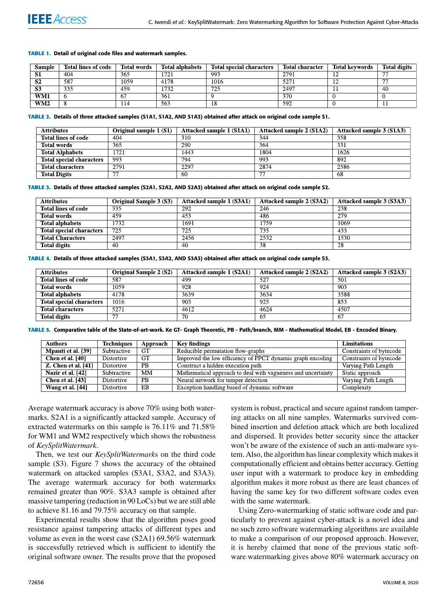#### **TABLE 1.** Detail of original code files and watermark samples.

| Sample                 | <b>Total lines of code</b> | <b>Total words</b> | <b>Total alphabets</b> | <b>Total special characters</b> | <b>Total character</b> | <b>Total keywords</b> | <b>Total digits</b>      |
|------------------------|----------------------------|--------------------|------------------------|---------------------------------|------------------------|-----------------------|--------------------------|
| ÐЦ                     | 404                        | 365                | 1721                   | 993                             | 2791                   |                       | $\overline{\phantom{m}}$ |
| $\mathbf{C}$<br>D4     | 587                        | 1059               | 4178                   | 1016                            | 527                    | --                    | $\overline{\phantom{a}}$ |
| C <sub>2</sub><br>. JJ | 335                        | 459                | 732                    | 725                             | 2497                   |                       | -40                      |
| WM1                    |                            | 67                 | 361                    |                                 | 370                    |                       |                          |
| WM2                    |                            | 14                 | 563                    |                                 | 592                    |                       |                          |

#### **TABLE 2.** Details of three attacked samples (S1A1, S1A2, AND S1A3) obtained after attack on original code sample S1.

| <b>Attributes</b>               | Original sample $1(S1)$ | Attacked sample 1 (S1A1) | Attacked sample 2 (S1A2) | Attacked sample 3 (S1A3) |
|---------------------------------|-------------------------|--------------------------|--------------------------|--------------------------|
| Total lines of code             | 404                     | 310                      | 344                      | 358                      |
| <b>Total words</b>              | 365                     | 290                      | 364                      | 331                      |
| <b>Total Alphabets</b>          | 1721                    | 1443                     | 1804                     | 1626                     |
| <b>Total special characters</b> | 993                     | 794                      | 993                      | 892                      |
| <b>Total characters</b>         | 2791                    | 2297                     | 2874                     | 2586                     |
| <b>Total Digits</b>             |                         | -60                      |                          | 68                       |

**TABLE 3.** Details of three attacked samples (S2A1, S2A2, AND S2A3) obtained after attack on original code sample S2.

| <b>Attributes</b>               | <b>Original Sample 3 (S3)</b> | Attacked sample 1 (S3A1) | Attacked sample 2 (S3A2) | Attacked sample 3 (S3A3) |
|---------------------------------|-------------------------------|--------------------------|--------------------------|--------------------------|
| <b>Total lines of code</b>      | 335                           | 292                      | 246                      | 238                      |
| <b>Total words</b>              | 459                           | 453                      | 486                      | 279                      |
| <b>Total alphabets</b>          | 1732                          | 1691                     | 1759                     | 1069                     |
| <b>Total special characters</b> | 725                           | 725                      | 735                      | 433                      |
| <b>Total Characters</b>         | 2497                          | 2456                     | 2532                     | 530                      |
| <b>Total digits</b>             | 40                            | 40                       | 38                       | 28                       |

#### **TABLE 4.** Details of three attacked samples (S3A1, S3A2, AND S3A3) obtained after attack on original code sample S3.

| <b>Attributes</b>               | <b>Original Sample 2 (S2)</b> | Attacked sample 1 (S2A1) | Attacked sample 2 (S2A2) | Attacked sample 3 (S2A3) |
|---------------------------------|-------------------------------|--------------------------|--------------------------|--------------------------|
| <b>Total lines of code</b>      | 587                           | 499                      | 527                      | 501                      |
| <b>Total words</b>              | 1059                          | 928                      | 924                      | 903                      |
| <b>Total alphabets</b>          | 4178                          | 3639                     | 3634                     | 3588                     |
| <b>Total special characters</b> | 1016                          | 903                      | 925                      | 853                      |
| <b>Total characters</b>         | 5271                          | 4612                     | 4624                     | 4507                     |
| <b>Total digits</b>             |                               | 70                       | 65                       | -67                      |

**TABLE 5.** Comparative table of the State-of-art-work. Ke GT- Graph Theoretic, PB - Path/branch, MM - Mathematical Model, EB - Encoded Binary.

| <b>Authors</b>             | <b>Techniques</b> | Approach  | <b>Key findings</b>                                          | <b>Limitations</b>      |
|----------------------------|-------------------|-----------|--------------------------------------------------------------|-------------------------|
| Mpanti et al. [39]         | Subtractive       | <b>GT</b> | Reducible permutation flow-graphs                            | Constraints of bytecode |
| Chen et al. [40]           | <b>Distortive</b> | GT.       | Improved the low efficiency of PPCT dynamic graph encoding   | Constraints of bytecode |
| <b>Z.</b> Chen et al. [41] | Distortive        | PB.       | Construct a hidden execution path                            | Varying Path Length     |
| Nazir et al. [42]          | Subtractive       | <b>MM</b> | Mathematical approach to deal with vagueness and uncertainty | Static approach         |
| Chen et al. $[43]$         | Distortive        | PB.       | Neural network for temper detection                          | Varying Path Length     |
| Wang et al. [44]           | Distortive        | EB.       | Exception handling based of dynamic software                 | Complexity              |

Average watermark accuracy is above 70% using both watermarks. S2A1 is a significantly attacked sample. Accuracy of extracted watermarks on this sample is 76.11% and 71.58% for WM1 and WM2 respectively which shows the robustness of *KeySplitWatermark*.

Then, we test our *KeySplitWatermark*s on the third code sample (S3). Figure 7 shows the accuracy of the obtained watermark on attacked samples (S3A1, S3A2, and S3A3). The average watermark accuracy for both watermarks remained greater than 90%. S3A3 sample is obtained after massive tampering (reduction in 90 LoCs) but we are still able to achieve 81.16 and 79.75% accuracy on that sample.

Experimental results show that the algorithm poses good resistance against tampering attacks of different types and volume as even in the worst case (S2A1) 69.56% watermark is successfully retrieved which is sufficient to identify the original software owner. The results prove that the proposed

system is robust, practical and secure against random tampering attacks on all nine samples. Watermarks survived combined insertion and deletion attack which are both localized and dispersed. It provides better security since the attacker won't be aware of the existence of such an anti-malware system. Also, the algorithm has linear complexity which makes it computationally efficient and obtains better accuracy. Getting user input with a watermark to produce key in embedding algorithm makes it more robust as there are least chances of having the same key for two different software codes even with the same watermark.

Using Zero-watermarking of static software code and particularly to prevent against cyber-attack is a novel idea and no such zero software watermarking algorithms are available to make a comparison of our proposed approach. However, it is hereby claimed that none of the previous static software watermarking gives above 80% watermark accuracy on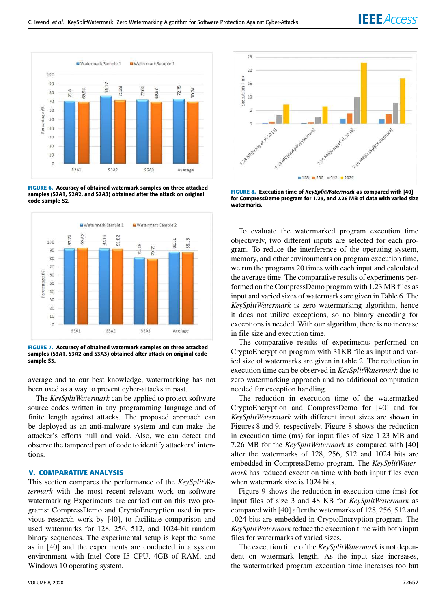

**FIGURE 6.** Accuracy of obtained watermark samples on three attacked samples (S2A1, S2A2, and S2A3) obtained after the attack on original code sample S2.



**FIGURE 7.** Accuracy of obtained watermark samples on three attacked samples (S3A1, S3A2 and S3A3) obtained after attack on original code sample S3.

average and to our best knowledge, watermarking has not been used as a way to prevent cyber-attacks in past.

The *KeySplitWatermark* can be applied to protect software source codes written in any programming language and of finite length against attacks. The proposed approach can be deployed as an anti-malware system and can make the attacker's efforts null and void. Also, we can detect and observe the tampered part of code to identify attackers' intentions.

# **V. COMPARATIVE ANALYSIS**

This section compares the performance of the *KeySplitWatermark* with the most recent relevant work on software watermarking Experiments are carried out on this two programs: CompressDemo and CryptoEncryption used in previous research work by [40], to facilitate comparison and used watermarks for 128, 256, 512, and 1024-bit random binary sequences. The experimental setup is kept the same as in [40] and the experiments are conducted in a system environment with Intel Core I5 CPU, 4GB of RAM, and Windows 10 operating system.



**FIGURE 8.** Execution time of KeySplitWatermark as compared with [40] for CompressDemo program for 1.23, and 7.26 MB of data with varied size watermarks.

To evaluate the watermarked program execution time objectively, two different inputs are selected for each program. To reduce the interference of the operating system, memory, and other environments on program execution time, we run the programs 20 times with each input and calculated the average time. The comparative results of experiments performed on the CompressDemo program with 1.23 MB files as input and varied sizes of watermarks are given in Table 6. The *KeySplitWatermark* is zero watermarking algorithm, hence it does not utilize exceptions, so no binary encoding for exceptions is needed. With our algorithm, there is no increase in file size and execution time.

The comparative results of experiments performed on CryptoEncryption program with 31KB file as input and varied size of watermarks are given in table 2. The reduction in execution time can be observed in *KeySplitWatermark* due to zero watermarking approach and no additional computation needed for exception handling.

The reduction in execution time of the watermarked CryptoEncryption and CompressDemo for [40] and for *KeySplitWatermark* with different input sizes are shown in Figures 8 and 9, respectively. Figure 8 shows the reduction in execution time (ms) for input files of size 1.23 MB and 7.26 MB for the *KeySplitWatermark* as compared with [40] after the watermarks of 128, 256, 512 and 1024 bits are embedded in CompressDemo program. The *KeySplitWatermark* has reduced execution time with both input files even when watermark size is 1024 bits.

Figure 9 shows the reduction in execution time (ms) for input files of size 3 and 48 KB for *KeySplitWatermark* as compared with [40] after the watermarks of 128, 256, 512 and 1024 bits are embedded in CryptoEncryption program. The *KeySplitWatermark* reduce the execution time with both input files for watermarks of varied sizes.

The execution time of the *KeySplitWatermark* is not dependent on watermark length. As the input size increases, the watermarked program execution time increases too but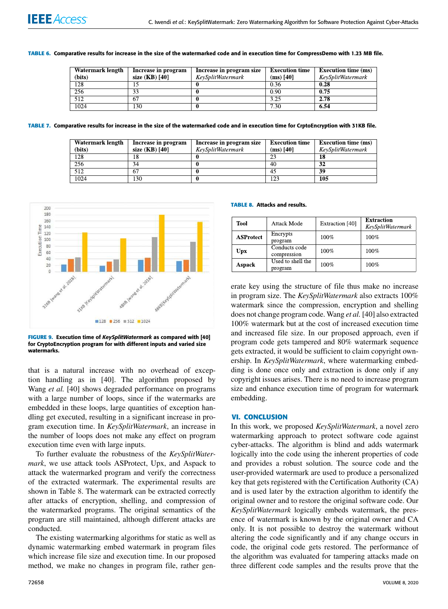#### **TABLE 6.** Comparative results for increase in the size of the watermarked code and in execution time for CompressDemo with 1.23 MB file.

| Watermark length | Increase in program | Increase in program size | <b>Execution time</b> | <b>Execution time (ms)</b> |
|------------------|---------------------|--------------------------|-----------------------|----------------------------|
| (bits)           | size (KB) [40]      | KeySplitWatermark        | $(ms)$ [40]           | KeySplitWatermark          |
| 128              |                     |                          | 0.36                  | 0.28                       |
| 256              |                     |                          | 0.90                  | 0.75                       |
| 512              | 67                  |                          | 3.25                  | 2.78                       |
| 1024             | 130                 |                          | 7.30                  | 6.54                       |

**TABLE 7.** Comparative results for increase in the size of the watermarked code and in execution time for CrptoEncryption with 31KB file.

| Watermark length | Increase in program | Increase in program size | <b>Execution time</b> | <b>Execution time (ms)</b> |
|------------------|---------------------|--------------------------|-----------------------|----------------------------|
| (bits)           | size (KB) [40]      | KeySplitWatermark        | $(ms)$ [40]           | KeySplitWatermark          |
| 128              | 18                  |                          |                       | 18                         |
| 256              | 34                  |                          | 40                    | 32                         |
| 512              | 67                  |                          | 45                    | 39                         |
| 1024             | 130                 |                          | 123                   | 105                        |



**FIGURE 9.** Execution time of KeySplitWatermark as compared with [40] for CryptoEncryption program for with different inputs and varied size watermarks.

that is a natural increase with no overhead of exception handling as in [40]. The algorithm proposed by Wang *et al.* [40] shows degraded performance on programs with a large number of loops, since if the watermarks are embedded in these loops, large quantities of exception handling get executed, resulting in a significant increase in program execution time. In *KeySplitWatermark*, an increase in the number of loops does not make any effect on program execution time even with large inputs.

To further evaluate the robustness of the *KeySplitWatermark*, we use attack tools ASProtect, Upx, and Aspack to attack the watermarked program and verify the correctness of the extracted watermark. The experimental results are shown in Table 8. The watermark can be extracted correctly after attacks of encryption, shelling, and compression of the watermarked programs. The original semantics of the program are still maintained, although different attacks are conducted.

The existing watermarking algorithms for static as well as dynamic watermarking embed watermark in program files which increase file size and execution time. In our proposed method, we make no changes in program file, rather gen**TABLE 8.** Attacks and results.

| <b>Tool</b>      | Attack Mode                  | Extraction [40] | <b>Extraction</b><br>KeySplitWatermark |
|------------------|------------------------------|-----------------|----------------------------------------|
| <b>ASProtect</b> | Encrypts<br>program          | 100%            | 100%                                   |
| <b>Upx</b>       | Conducts code<br>compression | 100%            | 100%                                   |
| <b>Aspack</b>    | Used to shell the<br>program | 100%            | 100%                                   |

erate key using the structure of file thus make no increase in program size. The *KeySplitWatermark* also extracts 100% watermark since the compression, encryption and shelling does not change program code. Wang *et al.* [40] also extracted 100% watermark but at the cost of increased execution time and increased file size. In our proposed approach, even if program code gets tampered and 80% watermark sequence gets extracted, it would be sufficient to claim copyright ownership. In *KeySplitWatermark*, where watermarking embedding is done once only and extraction is done only if any copyright issues arises. There is no need to increase program size and enhance execution time of program for watermark embedding.

#### **VI. CONCLUSION**

In this work, we proposed *KeySplitWatermark*, a novel zero watermarking approach to protect software code against cyber-attacks. The algorithm is blind and adds watermark logically into the code using the inherent properties of code and provides a robust solution. The source code and the user-provided watermark are used to produce a personalized key that gets registered with the Certification Authority (CA) and is used later by the extraction algorithm to identify the original owner and to restore the original software code. Our *KeySplitWatermark* logically embeds watermark, the presence of watermark is known by the original owner and CA only. It is not possible to destroy the watermark without altering the code significantly and if any change occurs in code, the original code gets restored. The performance of the algorithm was evaluated for tampering attacks made on three different code samples and the results prove that the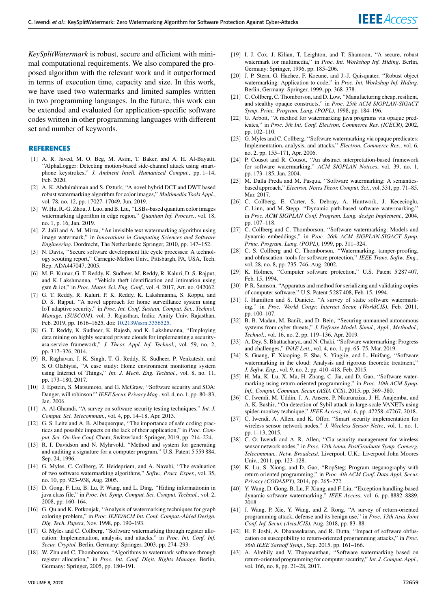*KeySplitWatermark* is robust, secure and efficient with minimal computational requirements. We also compared the proposed algorithm with the relevant work and it outperformed in terms of execution time, capacity and size. In this work, we have used two watermarks and limited samples written in two programming languages. In the future, this work can be extended and evaluated for application-specific software codes written in other programming languages with different set and number of keywords.

#### **REFERENCES**

- [1] A. R. Javed, M. O. Beg, M. Asim, T. Baker, and A. H. Al-Bayatti, ''AlphaLogger: Detecting motion-based side-channel attack using smartphone keystrokes,'' *J. Ambient Intell. Humanized Comput.*, pp. 1–14, Feb. 2020.
- [2] A. K. Abdulrahman and S. Ozturk, ''A novel hybrid DCT and DWT based robust watermarking algorithm for color images,'' *Multimedia Tools Appl.*, vol. 78, no. 12, pp. 17027–17049, Jun. 2019.
- [3] W. Hu, R.-G. Zhou, J. Luo, and B. Liu, ''LSBs-based quantum color images watermarking algorithm in edge region,'' *Quantum Inf. Process.*, vol. 18, no. 1, p. 16, Jan. 2019.
- [4] Z. Jalil and A. M. Mirza, ''An invisible text watermarking algorithm using image watermark,'' in *Innovations in Computing Sciences and Software Engineering*. Dordrecht, The Netherlands: Springer, 2010, pp. 147–152.
- [5] N. Davis, ''Secure software development life cycle processes: A technology scouting report,'' Carnegie-Mellon Univ., Pittsburgh, PA, USA, Tech. Rep. ADA447047, 2005.
- [6] M. E. Kumar, G. T. Reddy, K. Sudheer, M. Reddy, R. Kaluri, D. S. Rajput, and K. Lakshmanna, ''Vehicle theft identification and intimation using gsm & iot,'' in *Proc. Mater. Sci. Eng. Conf.*, vol. 4, 2017, Art. no. 042062.
- [7] G. T. Reddy, R. Kaluri, P. K. Reddy, K. Lakshmanna, S. Koppu, and D. S. Rajput, ''A novel approach for home surveillance system using IoT adaptive security,'' in *Proc. Int. Conf. Sustain. Comput. Sci., Technol. Manage. (SUSCOM)*, vol. 3. Rajasthan, India: Amity Univ. Rajasthan, Feb. 2019, pp. 1616–1625, doi: 10.2139/ssrn.3356525.
- [8] G. T. Reddy, K. Sudheer, K. Rajesh, and K. Lakshmanna, ''Employing data mining on highly secured private clouds for implementing a securityasa-service framework,'' *J. Theor. Appl. Inf. Technol.*, vol. 59, no. 2, pp. 317–326, 2014.
- [9] R. Raghavan, J. K. Singh, T. G. Reddy, K. Sudheer, P. Venkatesh, and S. O. Olabiyisi, ''A case study: Home environment monitoring system using Internet of Things,'' *Int. J. Mech. Eng. Technol.*, vol. 8, no. 11, pp. 173–180, 2017.
- [10] J. Epstein, S. Matsumoto, and G. McGraw, "Software security and SOA: Danger, will robinson!''*IEEE Secur. Privacy Mag.*, vol. 4, no. 1, pp. 80–83, Jan. 2006.
- [11] A. Al-Ghamdi, ''A survey on software security testing techniques,'' *Int. J. Comput. Sci. Telecommun.*, vol. 4, pp. 14–18, Apr. 2013.
- [12] G. S. Leite and A. B. Albuquerque, "The importance of safe coding practices and possible impacts on the lack of their application,'' in *Proc. Comput. Sci. On-line Conf.* Cham, Switzerland: Springer, 2019, pp. 214–224.
- [13] R. I. Davidson and N. Myhrvold, "Method and system for generating and auditing a signature for a computer program,'' U.S. Patent 5 559 884, Sep. 24, 1996.
- [14] G. Myles, C. Collberg, Z. Heidepriem, and A. Navabi, "The evaluation of two software watermarking algorithms,'' *Softw., Pract. Exper.*, vol. 35, no. 10, pp. 923–938, Aug. 2005.
- [15] D. Gong, F. Liu, B. Lu, P. Wang, and L. Ding, ''Hiding informationin in java class file,'' in *Proc. Int. Symp. Comput. Sci. Comput. Technol.*, vol. 2, 2008, pp. 160–164.
- [16] G. Qu and K. Potkonjak, "Analysis of watermarking techniques for graph coloring problem,'' in *Proc. IEEE/ACM Int. Conf. Comput.-Aided Design. Dig. Tech. Papers*, Nov. 1998, pp. 190–193.
- [17] G. Myles and C. Collberg, "Software watermarking through register allocation: Implementation, analysis, and attacks,'' in *Proc. Int. Conf. Inf. Secur. Cryptol.* Berlin, Germany: Springer, 2003, pp. 274–293.
- [18] W. Zhu and C. Thomborson, "Algorithms to watermark software through register allocation,'' in *Proc. Int. Conf. Digit. Rights Manage.* Berlin, Germany: Springer, 2005, pp. 180–191.
	-
- [19] I. J. Cox, J. Kilian, T. Leighton, and T. Shamoon, "A secure, robust watermark for multimedia,'' in *Proc. Int. Workshop Inf. Hiding*. Berlin, Germany: Springer, 1996, pp. 185–206.
	- [20] J. P. Stern, G. Hachez, F. Koeune, and J.-J. Quisquater, ''Robust object watermarking: Application to code,'' in *Proc. Int. Workshop Inf. Hiding*. Berlin, Germany: Springer, 1999, pp. 368–378.
	- [21] C. Collberg, C. Thomborson, and D. Low, "Manufacturing cheap, resilient, and stealthy opaque constructs,'' in *Proc. 25th ACM SIGPLAN-SIGACT Symp. Princ. Program. Lang. (POPL)*, 1998, pp. 184–196.
	- [22] G. Arboit, "A method for watermarking java programs via opaque predicates,'' in *Proc. 5th Int. Conf. Electron. Commerce Res. (ICECR)*, 2002, pp. 102–110.
	- [23] G. Myles and C. Collberg, "Software watermarking via opaque predicates: Implementation, analysis, and attacks,'' *Electron. Commerce Res.*, vol. 6, no. 2, pp. 155–171, Apr. 2006.
	- [24] P. Cousot and R. Cousot, ''An abstract interpretation-based framework for software watermarking,'' *ACM SIGPLAN Notices*, vol. 39, no. 1, pp. 173–185, Jan. 2004.
	- [25] M. Dalla Preda and M. Pasqua, "Software watermarking: A semanticsbased approach,'' *Electron. Notes Theor. Comput. Sci.*, vol. 331, pp. 71–85, Mar. 2017.
	- [26] C. Collberg, E. Carter, S. Debray, A. Huntwork, J. Kececioglu, C. Linn, and M. Stepp, ''Dynamic path-based software watermarking,'' in *Proc. ACM SIGPLAN Conf. Program. Lang. design Implement.*, 2004, pp. 107–118.
	- [27] C. Collberg and C. Thomborson, ''Software watermarking: Models and dynamic embeddings,'' in *Proc. 26th ACM SIGPLAN-SIGACT Symp. Princ. Program. Lang. (POPL)*, 1999, pp. 311–324.
	- [28] C. S. Collberg and C. Thomborson, "Watermarking, tamper-proofing, and obfuscation–tools for software protection,'' *IEEE Trans. Softw. Eng.*, vol. 28, no. 8, pp. 735–746, Aug. 2002.
	- [29] K. Holmes, "Computer software protection," U.S. Patent 5 287 407, Feb. 15, 1994.
	- [30] P. R. Samson, "Apparatus and method for serializing and validating copies of computer software,'' U.S. Patent 5 287 408, Feb. 15, 1994.
	- [31] J. Hamilton and S. Danicic, "A survey of static software watermarking,'' in *Proc. World Congr. Internet Secur. (WorldCIS)*, Feb. 2011, pp. 100–107.
	- [32] B. B. Madan, M. Banik, and D. Bein, "Securing unmanned autonomous systems from cyber threats,'' *J. Defense Model. Simul., Appl., Methodol., Technol.*, vol. 16, no. 2, pp. 119–136, Apr. 2019.
	- [33] A. Dey, S. Bhattacharya, and N. Chaki, ''Software watermarking: Progress and challenges,'' *INAE Lett.*, vol. 4, no. 1, pp. 65–75, Mar. 2019.
	- [34] S. Guang, F. Xiaoping, F. Sha, S. Yingjie, and L. Huifang, ''Software watermarking in the cloud: Analysis and rigorous theoretic treatment,'' *J. Softw. Eng.*, vol. 9, no. 2, pp. 410–418, Feb. 2015.
	- [35] H. Ma, K. Lu, X. Ma, H. Zhang, C. Jia, and D. Gao, "Software watermarking using return-oriented programming,'' in *Proc. 10th ACM Symp. Inf., Comput. Commun. Secur. (ASIA CCS)*, 2015, pp. 369–380.
	- [36] C. Iwendi, M. Uddin, J. A. Ansere, P. Nkurunziza, J. H. Anajemba, and A. K. Bashir, ''On detection of Sybil attack in large-scale VANETs using spider-monkey technique,'' *IEEE Access*, vol. 6, pp. 47258–47267, 2018.
	- [37] C. Iwendi, A. Allen, and K. Offor, "Smart security implementation for wireless sensor network nodes,'' *J. Wireless Sensor Netw.*, vol. 1, no. 1, pp. 1–13, 2015.
	- [38] C. O. Iwendi and A. R. Allen, "Cia security management for wireless sensor network nodes,'' in *Proc. 12th Annu. PostGraduate Symp. Converg. Telecommun., Netw. Broadcast.* Liverpool, U.K.: Liverpool John Moores Univ., 2011, pp. 123–128.
	- [39] K. Lu, S. Xiong, and D. Gao, ''RopSteg: Program steganography with return oriented programming,'' in *Proc. 4th ACM Conf. Data Appl. Secur. Privacy (CODASPY)*, 2014, pp. 265–272.
	- [40] Y. Wang, D. Gong, B. Lu, F. Xiang, and F. Liu, ''Exception handling-based dynamic software watermarking,'' *IEEE Access*, vol. 6, pp. 8882–8889, 2018.
	- [41] J. Wang, P. Xie, Y. Wang, and Z. Rong, "A survey of return-oriented programming attack, defense and its benign use,'' in *Proc. 13th Asia Joint Conf. Inf. Secur. (AsiaJCIS)*, Aug. 2018, pp. 83–88.
	- [42] H. P. Joshi, A. Dhanasekaran, and R. Dutta, "Impact of software obfuscation on susceptibility to return-oriented programming attacks,'' in *Proc. 36th IEEE Sarnoff Symp.*, Sep. 2015, pp. 161–166.
	- [43] A. Alrehily and V. Thayananthan, "Software watermarking based on return-oriented programming for computer security,'' *Int. J. Comput. Appl.*, vol. 166, no. 8, pp. 21–28, 2017.